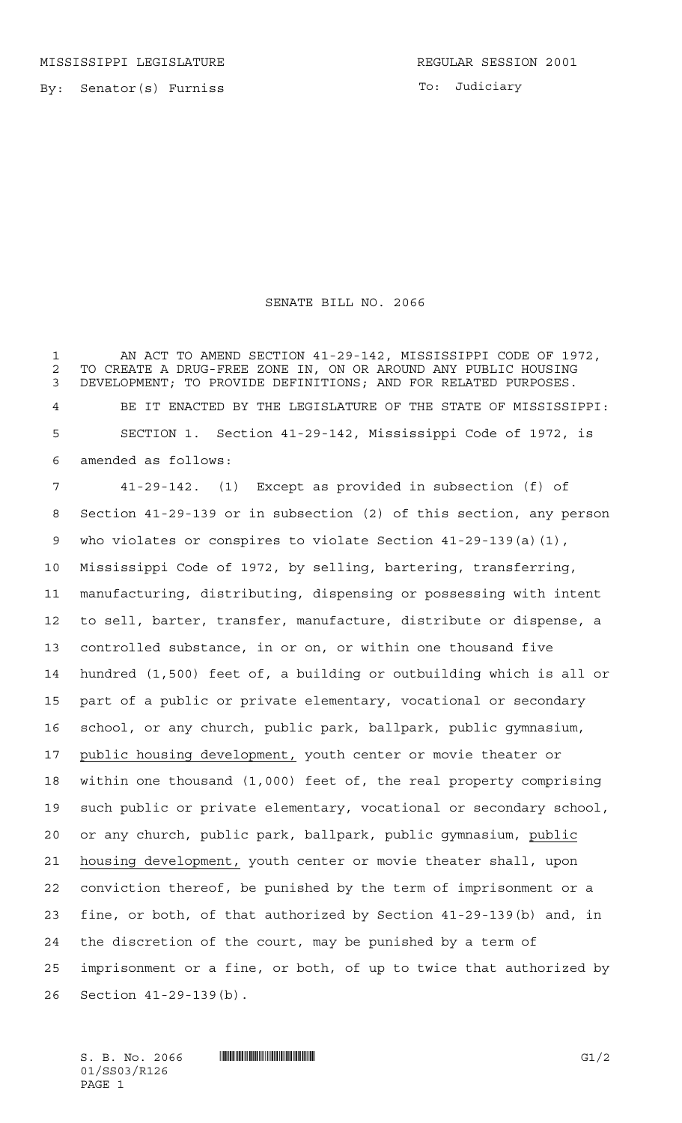MISSISSIPPI LEGISLATURE **REGULAR SESSION 2001** 

By: Senator(s) Furniss

To: Judiciary

## SENATE BILL NO. 2066

1 AN ACT TO AMEND SECTION 41-29-142, MISSISSIPPI CODE OF 1972, 2 TO CREATE A DRUG-FREE ZONE IN, ON OR AROUND ANY PUBLIC HOUSING<br>3 DEVELOPMENT: TO PROVIDE DEFINITIONS: AND FOR RELATED PURPOSES. DEVELOPMENT; TO PROVIDE DEFINITIONS; AND FOR RELATED PURPOSES. BE IT ENACTED BY THE LEGISLATURE OF THE STATE OF MISSISSIPPI: SECTION 1. Section 41-29-142, Mississippi Code of 1972, is amended as follows:

 41-29-142. (1) Except as provided in subsection (f) of Section 41-29-139 or in subsection (2) of this section, any person who violates or conspires to violate Section 41-29-139(a)(1), Mississippi Code of 1972, by selling, bartering, transferring, manufacturing, distributing, dispensing or possessing with intent to sell, barter, transfer, manufacture, distribute or dispense, a controlled substance, in or on, or within one thousand five hundred (1,500) feet of, a building or outbuilding which is all or part of a public or private elementary, vocational or secondary school, or any church, public park, ballpark, public gymnasium, public housing development, youth center or movie theater or within one thousand (1,000) feet of, the real property comprising such public or private elementary, vocational or secondary school, or any church, public park, ballpark, public gymnasium, public housing development, youth center or movie theater shall, upon conviction thereof, be punished by the term of imprisonment or a fine, or both, of that authorized by Section 41-29-139(b) and, in the discretion of the court, may be punished by a term of imprisonment or a fine, or both, of up to twice that authorized by Section 41-29-139(b).

 $S. B. No. 2066$  ...  $\blacksquare$   $\blacksquare$   $\blacksquare$   $\blacksquare$   $\blacksquare$   $\blacksquare$   $\blacksquare$   $\blacksquare$   $\blacksquare$   $\blacksquare$   $\blacksquare$   $\blacksquare$   $\blacksquare$   $\blacksquare$   $\blacksquare$   $\blacksquare$   $\blacksquare$   $\blacksquare$   $\blacksquare$   $\blacksquare$   $\blacksquare$   $\blacksquare$   $\blacksquare$   $\blacksquare$   $\blacksquare$   $\blacksquare$   $\blacksquare$   $\blacksquare$   $\blacksquare$  01/SS03/R126 PAGE 1